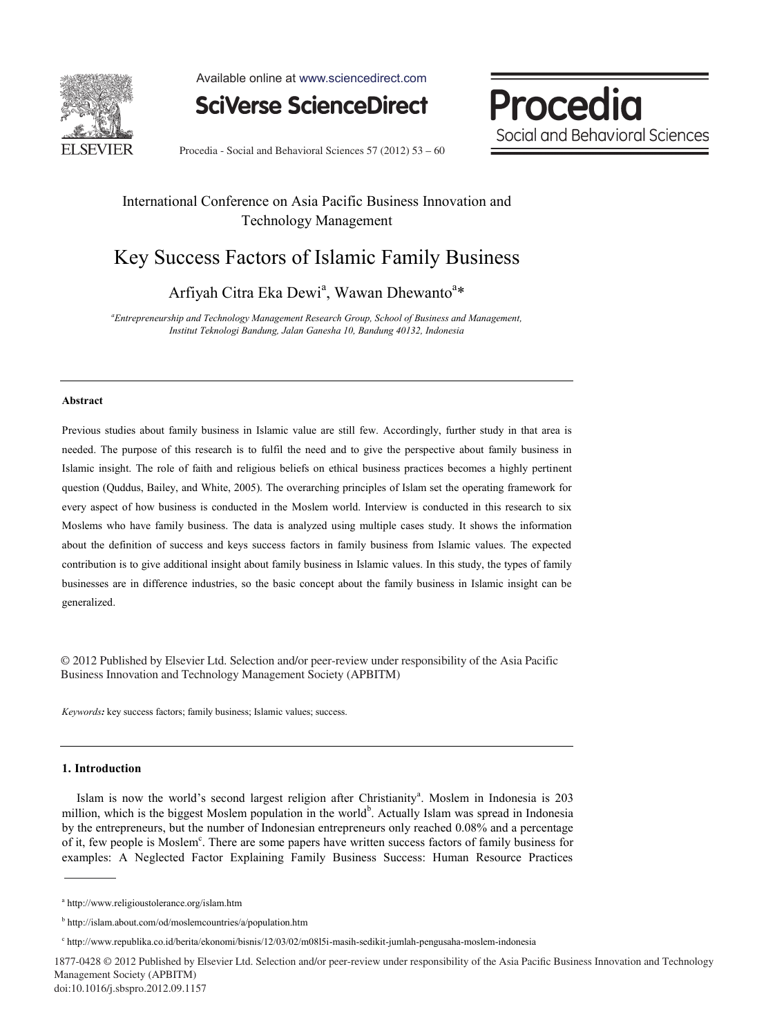

Available online at www.sciencedirect.com

**SciVerse ScienceDirect** 

Procedia Social and Behavioral Sciences

Procedia - Social and Behavioral Sciences  $57$  (2012)  $53 - 60$ 

### International Conference on Asia Pacific Business Innovation and Technology Management

## Key Success Factors of Islamic Family Business

Arfiyah Citra Eka Dewi<sup>a</sup>, Wawan Dhewanto<sup>a\*</sup>

*a Entrepreneurship and Technology Management Research Group, School of Business and Management, Institut Teknologi Bandung, Jalan Ganesha 10, Bandung 40132, Indonesia* 

#### **Abstract**

Previous studies about family business in Islamic value are still few. Accordingly, further study in that area is needed. The purpose of this research is to fulfil the need and to give the perspective about family business in Islamic insight. The role of faith and religious beliefs on ethical business practices becomes a highly pertinent question (Quddus, Bailey, and White, 2005). The overarching principles of Islam set the operating framework for every aspect of how business is conducted in the Moslem world. Interview is conducted in this research to six Moslems who have family business. The data is analyzed using multiple cases study. It shows the information about the definition of success and keys success factors in family business from Islamic values. The expected contribution is to give additional insight about family business in Islamic values. In this study, the types of family businesses are in difference industries, so the basic concept about the family business in Islamic insight can be generalized.

© 2012 Published by Elsevier Ltd. Selection and/or peer-review under responsibility of the Asia © 2012 Published by Elsevier Ltd. Selection and/or peer-review under responsibility of the Asia Pacific Business Innovation and Technology Management Society (APBITM)

*Keywords:* key success factors; family business; Islamic values; success.

#### **1. Introduction**

Islam is now the world's second largest religion after Christianity<sup>a</sup>. Moslem in Indonesia is 203 million, which is the biggest Moslem population in the world<sup>b</sup>. Actually Islam was spread in Indonesia by the entrepreneurs, but the number of Indonesian entrepreneurs only reached 0.08% and a percentage of it, few people is Moslem<sup>c</sup>. There are some papers have written success factors of family business for examples: A Neglected Factor Explaining Family Business Success: Human Resource Practices

1877-0428 © 2012 Published by Elsevier Ltd. Selection and/or peer-review under responsibility of the Asia Pacifi c Business Innovation and Technology Management Society (APBITM) doi: 10.1016/j.sbspro.2012.09.1157

a http://www.religioustolerance.org/islam.htm

<sup>&</sup>lt;sup>b</sup> http://islam.about.com/od/moslemcountries/a/population.htm

c http://www.republika.co.id/berita/ekonomi/bisnis/12/03/02/m08l5i-masih-sedikit-jumlah-pengusaha-moslem-indonesia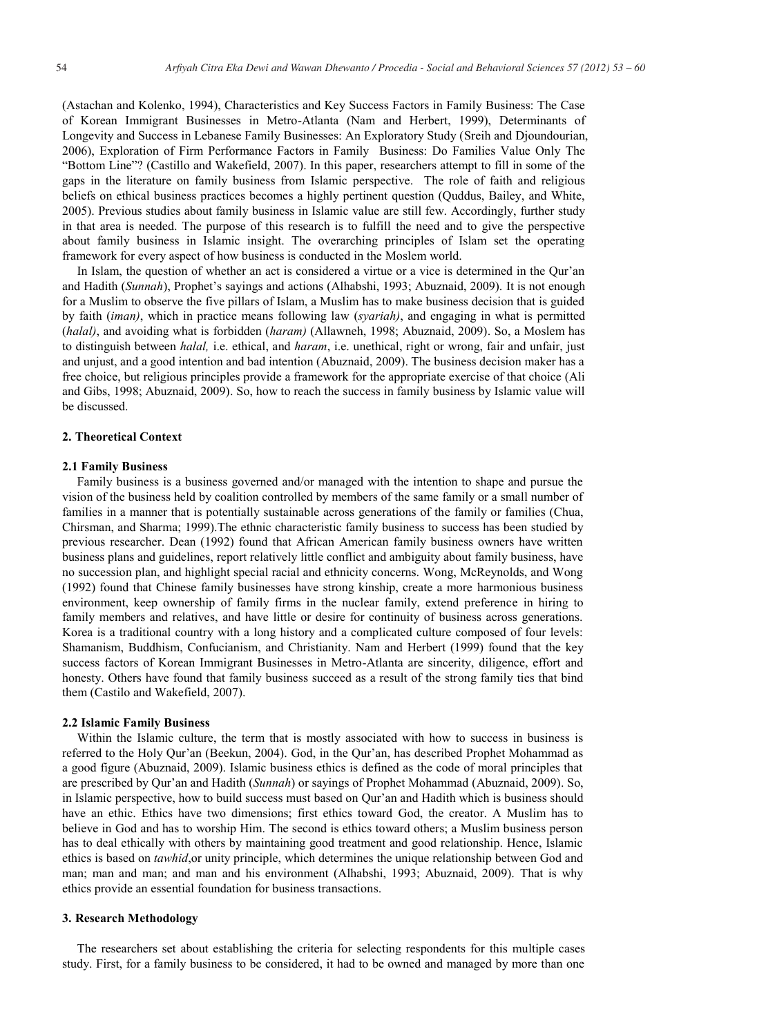(Astachan and Kolenko, 1994), Characteristics and Key Success Factors in Family Business: The Case of Korean Immigrant Businesses in Metro-Atlanta (Nam and Herbert, 1999), Determinants of Longevity and Success in Lebanese Family Businesses: An Exploratory Study (Sreih and Djoundourian, 2006), Exploration of Firm Performance Factors in Family Business: Do Families Value Only The "Bottom Line"? (Castillo and Wakefield, 2007). In this paper, researchers attempt to fill in some of the gaps in the literature on family business from Islamic perspective. The role of faith and religious beliefs on ethical business practices becomes a highly pertinent question (Quddus, Bailey, and White, 2005). Previous studies about family business in Islamic value are still few. Accordingly, further study in that area is needed. The purpose of this research is to fulfill the need and to give the perspective about family business in Islamic insight. The overarching principles of Islam set the operating framework for every aspect of how business is conducted in the Moslem world.

In Islam, the question of whether an act is considered a virtue or a vice is determined in the Qur'an and Hadith (*Sunnah*), Prophet's sayings and actions (Alhabshi, 1993; Abuznaid, 2009). It is not enough for a Muslim to observe the five pillars of Islam, a Muslim has to make business decision that is guided by faith (*iman)*, which in practice means following law (*syariah)*, and engaging in what is permitted (*halal)*, and avoiding what is forbidden (*haram)* (Allawneh, 1998; Abuznaid, 2009). So, a Moslem has to distinguish between *halal,* i.e. ethical, and *haram*, i.e. unethical, right or wrong, fair and unfair, just and unjust, and a good intention and bad intention (Abuznaid, 2009). The business decision maker has a free choice, but religious principles provide a framework for the appropriate exercise of that choice (Ali and Gibs, 1998; Abuznaid, 2009). So, how to reach the success in family business by Islamic value will be discussed.

#### **2. Theoretical Context**

#### **2.1 Family Business**

Family business is a business governed and/or managed with the intention to shape and pursue the vision of the business held by coalition controlled by members of the same family or a small number of families in a manner that is potentially sustainable across generations of the family or families (Chua, Chirsman, and Sharma; 1999).The ethnic characteristic family business to success has been studied by previous researcher. Dean (1992) found that African American family business owners have written business plans and guidelines, report relatively little conflict and ambiguity about family business, have no succession plan, and highlight special racial and ethnicity concerns. Wong, McReynolds, and Wong (1992) found that Chinese family businesses have strong kinship, create a more harmonious business environment, keep ownership of family firms in the nuclear family, extend preference in hiring to family members and relatives, and have little or desire for continuity of business across generations. Korea is a traditional country with a long history and a complicated culture composed of four levels: Shamanism, Buddhism, Confucianism, and Christianity. Nam and Herbert (1999) found that the key success factors of Korean Immigrant Businesses in Metro-Atlanta are sincerity, diligence, effort and honesty. Others have found that family business succeed as a result of the strong family ties that bind them (Castilo and Wakefield, 2007).

#### **2.2 Islamic Family Business**

Within the Islamic culture, the term that is mostly associated with how to success in business is referred to the Holy Qur'an (Beekun, 2004). God, in the Qur'an, has described Prophet Mohammad as a good figure (Abuznaid, 2009). Islamic business ethics is defined as the code of moral principles that are prescribed by Qur'an and Hadith (*Sunnah*) or sayings of Prophet Mohammad (Abuznaid, 2009). So, in Islamic perspective, how to build success must based on Qur'an and Hadith which is business should have an ethic. Ethics have two dimensions; first ethics toward God, the creator. A Muslim has to believe in God and has to worship Him. The second is ethics toward others; a Muslim business person has to deal ethically with others by maintaining good treatment and good relationship. Hence, Islamic ethics is based on *tawhid*,or unity principle, which determines the unique relationship between God and man; man and man; and man and his environment (Alhabshi, 1993; Abuznaid, 2009). That is why ethics provide an essential foundation for business transactions.

#### **3. Research Methodology**

The researchers set about establishing the criteria for selecting respondents for this multiple cases study. First, for a family business to be considered, it had to be owned and managed by more than one